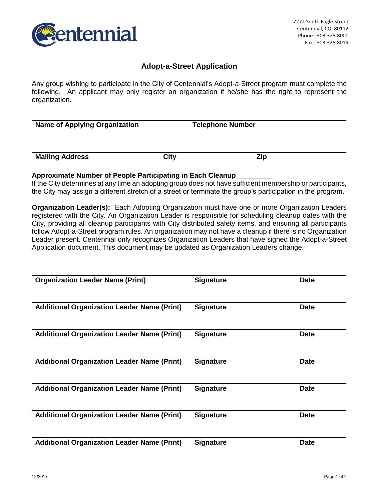

## **Adopt-a-Street Application**

Any group wishing to participate in the City of Centennial's Adopt-a-Street program must complete the following. An applicant may only register an organization if he/she has the right to represent the organization.

**Name of Applying Organization Telephone Number Mailing Address City** City **City Zip** 

### **Approximate Number of People Participating in Each Cleanup** \_\_\_\_\_\_\_\_\_

If the City determines at any time an adopting group does not have sufficient membership or participants, the City may assign a different stretch of a street or terminate the group's participation in the program.

**Organization Leader(s):** Each Adopting Organization must have one or more Organization Leaders registered with the City. An Organization Leader is responsible for scheduling cleanup dates with the City, providing all cleanup participants with City distributed safety items, and ensuring all participants follow Adopt-a-Street program rules. An organization may not have a cleanup if there is no Organization Leader present. Centennial only recognizes Organization Leaders that have signed the Adopt-a-Street Application document. This document may be updated as Organization Leaders change.

| <b>Organization Leader Name (Print)</b>            | <b>Signature</b> | <b>Date</b> |
|----------------------------------------------------|------------------|-------------|
| <b>Additional Organization Leader Name (Print)</b> | <b>Signature</b> | <b>Date</b> |
| <b>Additional Organization Leader Name (Print)</b> | <b>Signature</b> | <b>Date</b> |
| <b>Additional Organization Leader Name (Print)</b> | <b>Signature</b> | <b>Date</b> |
| <b>Additional Organization Leader Name (Print)</b> | <b>Signature</b> | <b>Date</b> |
| <b>Additional Organization Leader Name (Print)</b> | <b>Signature</b> | <b>Date</b> |
| <b>Additional Organization Leader Name (Print)</b> | <b>Signature</b> | <b>Date</b> |